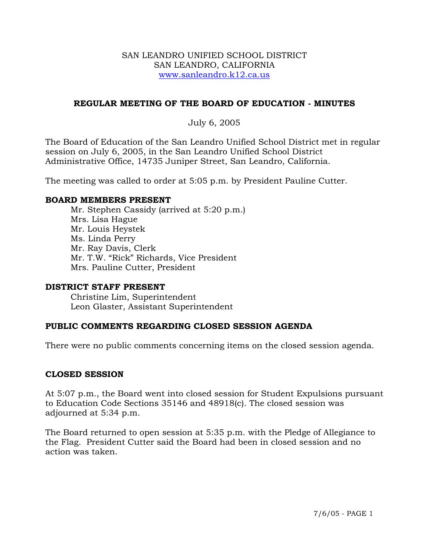#### SAN LEANDRO UNIFIED SCHOOL DISTRICT SAN LEANDRO, CALIFORNIA www.sanleandro.k12.ca.us

## **REGULAR MEETING OF THE BOARD OF EDUCATION - MINUTES**

# July 6, 2005

The Board of Education of the San Leandro Unified School District met in regular session on July 6, 2005, in the San Leandro Unified School District Administrative Office, 14735 Juniper Street, San Leandro, California.

The meeting was called to order at 5:05 p.m. by President Pauline Cutter.

#### **BOARD MEMBERS PRESENT**

Mr. Stephen Cassidy (arrived at 5:20 p.m.) Mrs. Lisa Hague Mr. Louis Heystek Ms. Linda Perry Mr. Ray Davis, Clerk Mr. T.W. "Rick" Richards, Vice President Mrs. Pauline Cutter, President

#### **DISTRICT STAFF PRESENT**

Christine Lim, Superintendent Leon Glaster, Assistant Superintendent

#### **PUBLIC COMMENTS REGARDING CLOSED SESSION AGENDA**

There were no public comments concerning items on the closed session agenda.

#### **CLOSED SESSION**

At 5:07 p.m., the Board went into closed session for Student Expulsions pursuant to Education Code Sections 35146 and 48918(c). The closed session was adjourned at 5:34 p.m.

The Board returned to open session at 5:35 p.m. with the Pledge of Allegiance to the Flag. President Cutter said the Board had been in closed session and no action was taken.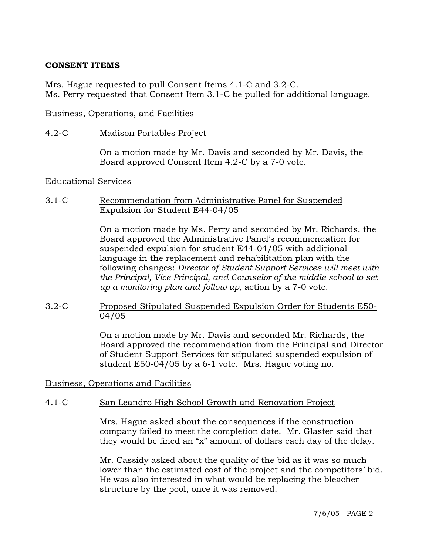## **CONSENT ITEMS**

Mrs. Hague requested to pull Consent Items 4.1-C and 3.2-C. Ms. Perry requested that Consent Item 3.1-C be pulled for additional language.

#### Business, Operations, and Facilities

#### 4.2-C Madison Portables Project

On a motion made by Mr. Davis and seconded by Mr. Davis, the Board approved Consent Item 4.2-C by a 7-0 vote.

#### Educational Services

#### 3.1-C Recommendation from Administrative Panel for Suspended Expulsion for Student E44-04/05

On a motion made by Ms. Perry and seconded by Mr. Richards, the Board approved the Administrative Panel's recommendation for suspended expulsion for student E44-04/05 with additional language in the replacement and rehabilitation plan with the following changes: *Director of Student Support Services will meet with the Principal, Vice Principal, and Counselor of the middle school to set up a monitoring plan and follow up,* action by a 7-0 vote.

3.2-C Proposed Stipulated Suspended Expulsion Order for Students E50- 04/05

> On a motion made by Mr. Davis and seconded Mr. Richards, the Board approved the recommendation from the Principal and Director of Student Support Services for stipulated suspended expulsion of student E50-04/05 by a 6-1 vote. Mrs. Hague voting no.

Business, Operations and Facilities

# 4.1-C San Leandro High School Growth and Renovation Project

Mrs. Hague asked about the consequences if the construction company failed to meet the completion date. Mr. Glaster said that they would be fined an "x" amount of dollars each day of the delay.

Mr. Cassidy asked about the quality of the bid as it was so much lower than the estimated cost of the project and the competitors' bid. He was also interested in what would be replacing the bleacher structure by the pool, once it was removed.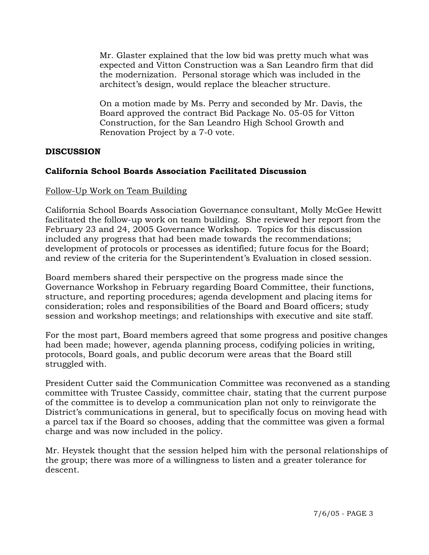Mr. Glaster explained that the low bid was pretty much what was expected and Vitton Construction was a San Leandro firm that did the modernization. Personal storage which was included in the architect's design, would replace the bleacher structure.

On a motion made by Ms. Perry and seconded by Mr. Davis, the Board approved the contract Bid Package No. 05-05 for Vitton Construction, for the San Leandro High School Growth and Renovation Project by a 7-0 vote.

# **DISCUSSION**

# **California School Boards Association Facilitated Discussion**

# Follow-Up Work on Team Building

California School Boards Association Governance consultant, Molly McGee Hewitt facilitated the follow-up work on team building. She reviewed her report from the February 23 and 24, 2005 Governance Workshop. Topics for this discussion included any progress that had been made towards the recommendations; development of protocols or processes as identified; future focus for the Board; and review of the criteria for the Superintendent's Evaluation in closed session.

Board members shared their perspective on the progress made since the Governance Workshop in February regarding Board Committee, their functions, structure, and reporting procedures; agenda development and placing items for consideration; roles and responsibilities of the Board and Board officers; study session and workshop meetings; and relationships with executive and site staff.

For the most part, Board members agreed that some progress and positive changes had been made; however, agenda planning process, codifying policies in writing, protocols, Board goals, and public decorum were areas that the Board still struggled with.

President Cutter said the Communication Committee was reconvened as a standing committee with Trustee Cassidy, committee chair, stating that the current purpose of the committee is to develop a communication plan not only to reinvigorate the District's communications in general, but to specifically focus on moving head with a parcel tax if the Board so chooses, adding that the committee was given a formal charge and was now included in the policy.

Mr. Heystek thought that the session helped him with the personal relationships of the group; there was more of a willingness to listen and a greater tolerance for descent.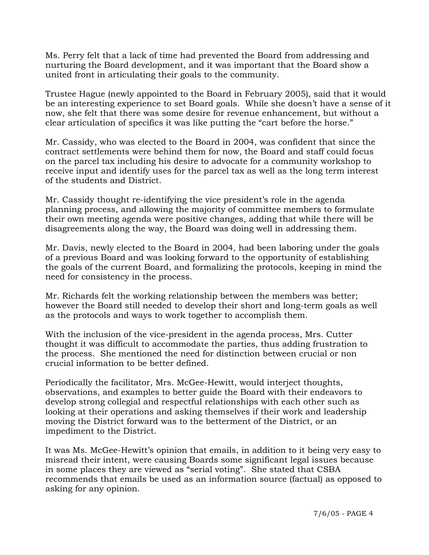Ms. Perry felt that a lack of time had prevented the Board from addressing and nurturing the Board development, and it was important that the Board show a united front in articulating their goals to the community.

Trustee Hague (newly appointed to the Board in February 2005), said that it would be an interesting experience to set Board goals. While she doesn't have a sense of it now, she felt that there was some desire for revenue enhancement, but without a clear articulation of specifics it was like putting the "cart before the horse."

Mr. Cassidy, who was elected to the Board in 2004, was confident that since the contract settlements were behind them for now, the Board and staff could focus on the parcel tax including his desire to advocate for a community workshop to receive input and identify uses for the parcel tax as well as the long term interest of the students and District.

Mr. Cassidy thought re-identifying the vice president's role in the agenda planning process, and allowing the majority of committee members to formulate their own meeting agenda were positive changes, adding that while there will be disagreements along the way, the Board was doing well in addressing them.

Mr. Davis, newly elected to the Board in 2004, had been laboring under the goals of a previous Board and was looking forward to the opportunity of establishing the goals of the current Board, and formalizing the protocols, keeping in mind the need for consistency in the process.

Mr. Richards felt the working relationship between the members was better; however the Board still needed to develop their short and long-term goals as well as the protocols and ways to work together to accomplish them.

With the inclusion of the vice-president in the agenda process, Mrs. Cutter thought it was difficult to accommodate the parties, thus adding frustration to the process. She mentioned the need for distinction between crucial or non crucial information to be better defined.

Periodically the facilitator, Mrs. McGee-Hewitt, would interject thoughts, observations, and examples to better guide the Board with their endeavors to develop strong collegial and respectful relationships with each other such as looking at their operations and asking themselves if their work and leadership moving the District forward was to the betterment of the District, or an impediment to the District.

It was Ms. McGee-Hewitt's opinion that emails, in addition to it being very easy to misread their intent, were causing Boards some significant legal issues because in some places they are viewed as "serial voting". She stated that CSBA recommends that emails be used as an information source (factual) as opposed to asking for any opinion.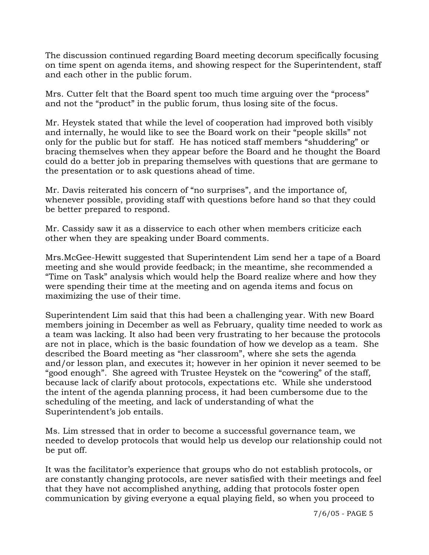The discussion continued regarding Board meeting decorum specifically focusing on time spent on agenda items, and showing respect for the Superintendent, staff and each other in the public forum.

Mrs. Cutter felt that the Board spent too much time arguing over the "process" and not the "product" in the public forum, thus losing site of the focus.

Mr. Heystek stated that while the level of cooperation had improved both visibly and internally, he would like to see the Board work on their "people skills" not only for the public but for staff. He has noticed staff members "shuddering" or bracing themselves when they appear before the Board and he thought the Board could do a better job in preparing themselves with questions that are germane to the presentation or to ask questions ahead of time.

Mr. Davis reiterated his concern of "no surprises", and the importance of, whenever possible, providing staff with questions before hand so that they could be better prepared to respond.

Mr. Cassidy saw it as a disservice to each other when members criticize each other when they are speaking under Board comments.

Mrs.McGee-Hewitt suggested that Superintendent Lim send her a tape of a Board meeting and she would provide feedback; in the meantime, she recommended a "Time on Task" analysis which would help the Board realize where and how they were spending their time at the meeting and on agenda items and focus on maximizing the use of their time.

Superintendent Lim said that this had been a challenging year. With new Board members joining in December as well as February, quality time needed to work as a team was lacking. It also had been very frustrating to her because the protocols are not in place, which is the basic foundation of how we develop as a team. She described the Board meeting as "her classroom", where she sets the agenda and/or lesson plan, and executes it; however in her opinion it never seemed to be "good enough". She agreed with Trustee Heystek on the "cowering" of the staff, because lack of clarify about protocols, expectations etc. While she understood the intent of the agenda planning process, it had been cumbersome due to the scheduling of the meeting, and lack of understanding of what the Superintendent's job entails.

Ms. Lim stressed that in order to become a successful governance team, we needed to develop protocols that would help us develop our relationship could not be put off.

It was the facilitator's experience that groups who do not establish protocols, or are constantly changing protocols, are never satisfied with their meetings and feel that they have not accomplished anything, adding that protocols foster open communication by giving everyone a equal playing field, so when you proceed to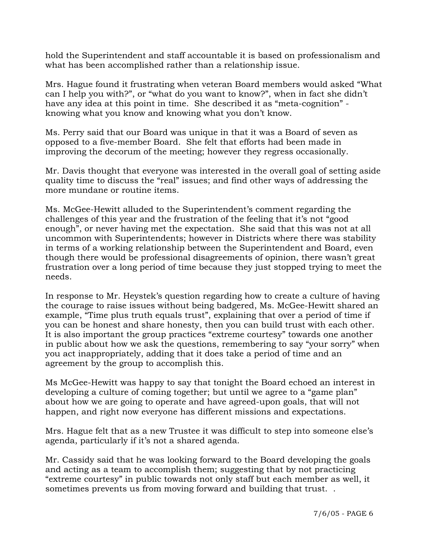hold the Superintendent and staff accountable it is based on professionalism and what has been accomplished rather than a relationship issue.

Mrs. Hague found it frustrating when veteran Board members would asked "What can I help you with?", or "what do you want to know?", when in fact she didn't have any idea at this point in time. She described it as "meta-cognition" knowing what you know and knowing what you don't know.

Ms. Perry said that our Board was unique in that it was a Board of seven as opposed to a five-member Board. She felt that efforts had been made in improving the decorum of the meeting; however they regress occasionally.

Mr. Davis thought that everyone was interested in the overall goal of setting aside quality time to discuss the "real" issues; and find other ways of addressing the more mundane or routine items.

Ms. McGee-Hewitt alluded to the Superintendent's comment regarding the challenges of this year and the frustration of the feeling that it's not "good enough", or never having met the expectation. She said that this was not at all uncommon with Superintendents; however in Districts where there was stability in terms of a working relationship between the Superintendent and Board, even though there would be professional disagreements of opinion, there wasn't great frustration over a long period of time because they just stopped trying to meet the needs.

In response to Mr. Heystek's question regarding how to create a culture of having the courage to raise issues without being badgered, Ms. McGee-Hewitt shared an example, "Time plus truth equals trust", explaining that over a period of time if you can be honest and share honesty, then you can build trust with each other. It is also important the group practices "extreme courtesy" towards one another in public about how we ask the questions, remembering to say "your sorry" when you act inappropriately, adding that it does take a period of time and an agreement by the group to accomplish this.

Ms McGee-Hewitt was happy to say that tonight the Board echoed an interest in developing a culture of coming together; but until we agree to a "game plan" about how we are going to operate and have agreed-upon goals, that will not happen, and right now everyone has different missions and expectations.

Mrs. Hague felt that as a new Trustee it was difficult to step into someone else's agenda, particularly if it's not a shared agenda.

Mr. Cassidy said that he was looking forward to the Board developing the goals and acting as a team to accomplish them; suggesting that by not practicing "extreme courtesy" in public towards not only staff but each member as well, it sometimes prevents us from moving forward and building that trust. .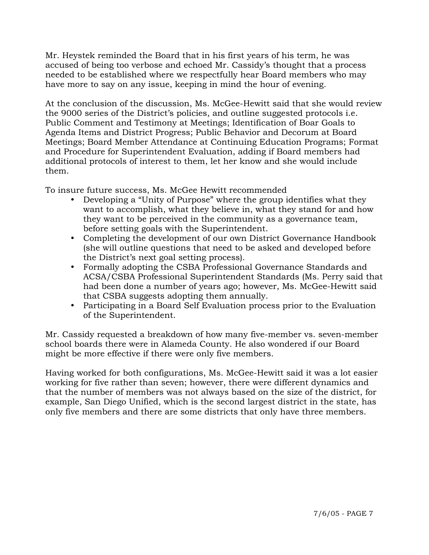Mr. Heystek reminded the Board that in his first years of his term, he was accused of being too verbose and echoed Mr. Cassidy's thought that a process needed to be established where we respectfully hear Board members who may have more to say on any issue, keeping in mind the hour of evening.

At the conclusion of the discussion, Ms. McGee-Hewitt said that she would review the 9000 series of the District's policies, and outline suggested protocols i.e. Public Comment and Testimony at Meetings; Identification of Boar Goals to Agenda Items and District Progress; Public Behavior and Decorum at Board Meetings; Board Member Attendance at Continuing Education Programs; Format and Procedure for Superintendent Evaluation, adding if Board members had additional protocols of interest to them, let her know and she would include them.

To insure future success, Ms. McGee Hewitt recommended

- Developing a "Unity of Purpose" where the group identifies what they want to accomplish, what they believe in, what they stand for and how they want to be perceived in the community as a governance team, before setting goals with the Superintendent.
- Completing the development of our own District Governance Handbook (she will outline questions that need to be asked and developed before the District's next goal setting process).
- Formally adopting the CSBA Professional Governance Standards and ACSA/CSBA Professional Superintendent Standards (Ms. Perry said that had been done a number of years ago; however, Ms. McGee-Hewitt said that CSBA suggests adopting them annually.
- Participating in a Board Self Evaluation process prior to the Evaluation of the Superintendent.

Mr. Cassidy requested a breakdown of how many five-member vs. seven-member school boards there were in Alameda County. He also wondered if our Board might be more effective if there were only five members.

Having worked for both configurations, Ms. McGee-Hewitt said it was a lot easier working for five rather than seven; however, there were different dynamics and that the number of members was not always based on the size of the district, for example, San Diego Unified, which is the second largest district in the state, has only five members and there are some districts that only have three members.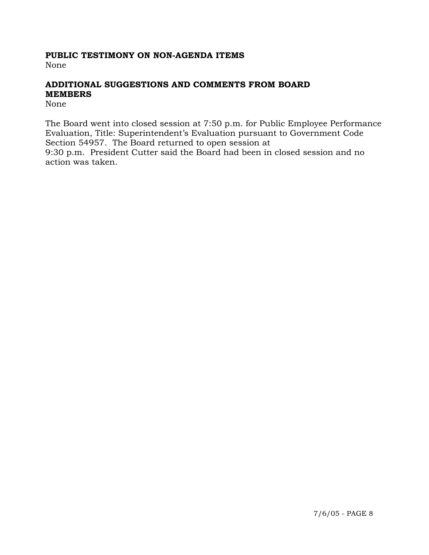# **PUBLIC TESTIMONY ON NON-AGENDA ITEMS**

None

# **ADDITIONAL SUGGESTIONS AND COMMENTS FROM BOARD MEMBERS**

None

The Board went into closed session at 7:50 p.m. for Public Employee Performance Evaluation, Title: Superintendent's Evaluation pursuant to Government Code Section 54957. The Board returned to open session at 9:30 p.m. President Cutter said the Board had been in closed session and no action was taken.